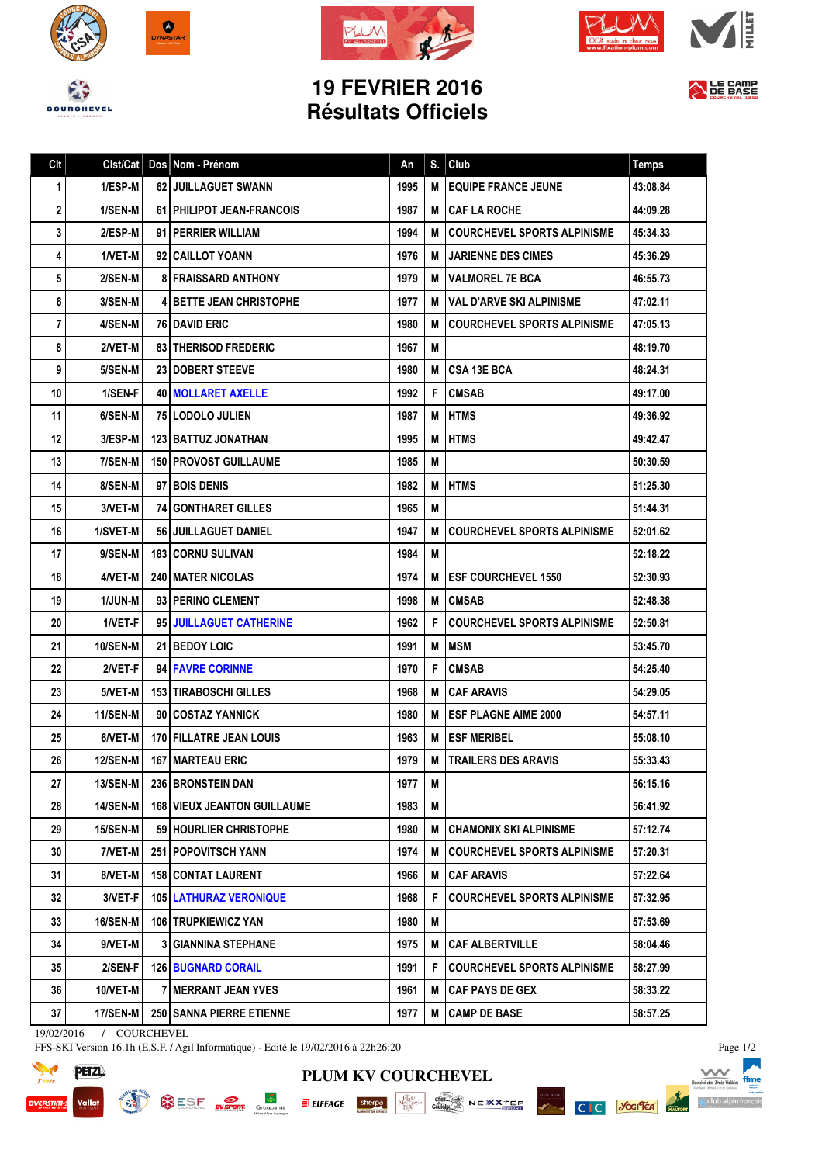







## **19 FEVRIER 2016 Résultats Officiels**



| Clt |                 |   | Clst/Cat   Dos   Nom - Prénom      | An   | S. | Club                               | <b>Temps</b> |
|-----|-----------------|---|------------------------------------|------|----|------------------------------------|--------------|
| 1   | 1/ESP-M         |   | <b>62 JUILLAGUET SWANN</b>         | 1995 | M  | <b>EQUIPE FRANCE JEUNE</b>         | 43:08.84     |
| 2   | 1/SEN-M         |   | <b>61   PHILIPOT JEAN-FRANCOIS</b> | 1987 | M  | <b>CAF LA ROCHE</b>                | 44:09.28     |
| 3   | 2/ESP-M         |   | 91 <b>PERRIER WILLIAM</b>          | 1994 | M  | <b>COURCHEVEL SPORTS ALPINISME</b> | 45:34.33     |
| 4   | 1/VET-M         |   | 92   CAILLOT YOANN                 | 1976 | м  | <b>JARIENNE DES CIMES</b>          | 45:36.29     |
| 5   | 2/SEN-M         |   | <b>8 FRAISSARD ANTHONY</b>         | 1979 | M  | <b>VALMOREL 7E BCA</b>             | 46:55.73     |
| 6   | 3/SEN-M         |   | <b>4 BETTE JEAN CHRISTOPHE</b>     | 1977 | M  | <b>VAL D'ARVE SKI ALPINISME</b>    | 47:02.11     |
| 7   | 4/SEN-M         |   | <b>76 I DAVID ERIC</b>             | 1980 | М  | <b>COURCHEVEL SPORTS ALPINISME</b> | 47:05.13     |
| 8   | 2/VET-M         |   | <b>83 THERISOD FREDERIC</b>        | 1967 | M  |                                    | 48:19.70     |
| 9   | 5/SEN-M         |   | 23   DOBERT STEEVE                 | 1980 | М  | <b>CSA 13E BCA</b>                 | 48:24.31     |
| 10  | 1/SEN-F         |   | <b>40   MOLLARET AXELLE</b>        | 1992 | F  | <b>CMSAB</b>                       | 49:17.00     |
| 11  | 6/SEN-M         |   | 75 LODOLO JULIEN                   | 1987 | M  | <b>HTMS</b>                        | 49:36.92     |
| 12  | 3/ESP-M         |   | <b>123 BATTUZ JONATHAN</b>         | 1995 | м  | <b>HTMS</b>                        | 49:42.47     |
| 13  | 7/SEN-M         |   | <b>150   PROVOST GUILLAUME</b>     | 1985 | M  |                                    | 50:30.59     |
| 14  | 8/SEN-M         |   | 97 BOIS DENIS                      | 1982 | M  | <b>HTMS</b>                        | 51:25.30     |
| 15  | 3/VET-M         |   | <b>74 GONTHARET GILLES</b>         | 1965 | M  |                                    | 51:44.31     |
| 16  | 1/SVET-M        |   | 56 JUILLAGUET DANIEL               | 1947 | M  | <b>COURCHEVEL SPORTS ALPINISME</b> | 52:01.62     |
| 17  | 9/SEN-M         |   | <b>183 CORNU SULIVAN</b>           | 1984 | M  |                                    | 52:18.22     |
| 18  | 4/VET-M         |   | <b>240 I MATER NICOLAS</b>         | 1974 | М  | <b>ESF COURCHEVEL 1550</b>         | 52:30.93     |
| 19  | <b>1/JUN-M</b>  |   | 93   PERINO CLEMENT                | 1998 | M  | <b>CMSAB</b>                       | 52:48.38     |
| 20  | 1/VET-F         |   | 95 JUILLAGUET CATHERINE            | 1962 | F  | <b>COURCHEVEL SPORTS ALPINISME</b> | 52:50.81     |
| 21  | 10/SEN-M        |   | <b>21 BEDOY LOIC</b>               | 1991 | M  | <b>MSM</b>                         | 53:45.70     |
| 22  | 2/VET-F         |   | 94 FAVRE CORINNE                   | 1970 | F  | <b>CMSAB</b>                       | 54:25.40     |
| 23  | 5/VET-M         |   | <b>153   TIRABOSCHI GILLES</b>     | 1968 | M  | <b>CAF ARAVIS</b>                  | 54:29.05     |
| 24  | 11/SEN-M        |   | 90 COSTAZ YANNICK                  | 1980 | M  | <b>ESF PLAGNE AIME 2000</b>        | 54:57.11     |
| 25  | 6/VET-M         |   | 170 FILLATRE JEAN LOUIS            | 1963 | м  | <b>ESF MERIBEL</b>                 | 55:08.10     |
| 26  | 12/SEN-M        |   | 167 MARTEAU ERIC                   | 1979 |    | M   TRAILERS DES ARAVIS            | 55:33.43     |
| 27  | 13/SEN-M        |   | <b>236 BRONSTEIN DAN</b>           | 1977 | M  |                                    | 56:15.16     |
| 28  | 14/SEN-M        |   | <b>168 VIEUX JEANTON GUILLAUME</b> | 1983 | M  |                                    | 56:41.92     |
| 29  | <b>15/SEN-M</b> |   | 59 HOURLIER CHRISTOPHE             | 1980 | м  | <b>CHAMONIX SKI ALPINISME</b>      | 57:12.74     |
| 30  | 7/VET-M         |   | <b>251   POPOVITSCH YANN</b>       | 1974 | M  | <b>COURCHEVEL SPORTS ALPINISME</b> | 57:20.31     |
| 31  | 8/VET-M         |   | <b>158 CONTAT LAURENT</b>          | 1966 | м  | <b>CAF ARAVIS</b>                  | 57:22.64     |
| 32  | 3/VET-F         |   | <b>105 LATHURAZ VERONIQUE</b>      | 1968 | F. | <b>COURCHEVEL SPORTS ALPINISME</b> | 57:32.95     |
| 33  | <b>16/SEN-M</b> |   | <b>106 TRUPKIEWICZ YAN</b>         | 1980 | M  |                                    | 57:53.69     |
| 34  | 9/VET-M         | 3 | GIANNINA STEPHANE                  | 1975 | м  | <b>CAF ALBERTVILLE</b>             | 58:04.46     |
| 35  | 2/SEN-F         |   | <b>126 BUGNARD CORAIL</b>          | 1991 | F. | <b>COURCHEVEL SPORTS ALPINISME</b> | 58:27.99     |
| 36  | 10/VET-M        |   | 7   MERRANT JEAN YVES              | 1961 | M  | <b>CAF PAYS DE GEX</b>             | 58:33.22     |
| 37  | <b>17/SEN-M</b> |   | 250   SANNA PIERRE ETIENNE         | 1977 | M  | <b>CAMP DE BASE</b>                | 58:57.25     |
|     |                 |   |                                    |      |    |                                    |              |

19/02/2016 / COURCHEVEL

FFS-SKI Version 16.1h (E.S.F. / Agil Informatique) - Edité le 19/02/2016 à 22h26:20